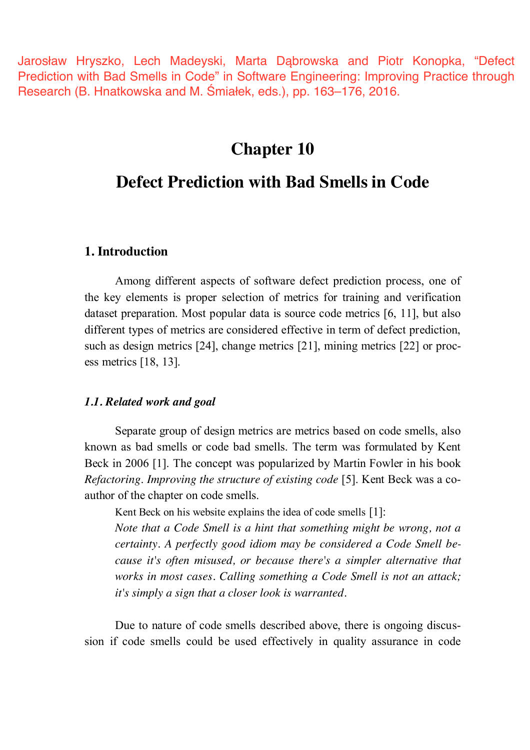Jarosław Hryszko, Lech Madeyski, Marta Dąbrowska and Piotr Konopka, "Defect Prediction with Bad Smells in Code" in Software Engineering: Improving Practice through Research (B. Hnatkowska and M. Śmiałek, eds.), pp. 163–176, 2016.

# **Chapter 10**

# **Defect Prediction with Bad Smells in Code**

# **1. Introduction**

Among different aspects of software defect prediction process, one of the key elements is proper selection of metrics for training and verification dataset preparation. Most popular data is source code metrics [6, 11], but also different types of metrics are considered effective in term of defect prediction, such as design metrics [24], change metrics [21], mining metrics [22] or process metrics [18, 13].

### *1.1. Related work and goal*

Separate group of design metrics are metrics based on code smells, also known as bad smells or code bad smells. The term was formulated by Kent Beck in 2006 [1]. The concept was popularized by Martin Fowler in his book *Refactoring*. *Improving the structure of existing code* [5]. Kent Beck was a coauthor of the chapter on code smells.

Kent Beck on his website explains the idea of code smells [1]:

*Note that a Code Smell is a hint that something might be wrong, not a certainty. A perfectly good idiom may be considered a Code Smell because it's often misused, or because there's a simpler alternative that works in most cases. Calling something a Code Smell is not an attack; it's simply a sign that a closer look is warranted.*

Due to nature of code smells described above, there is ongoing discussion if code smells could be used effectively in quality assurance in code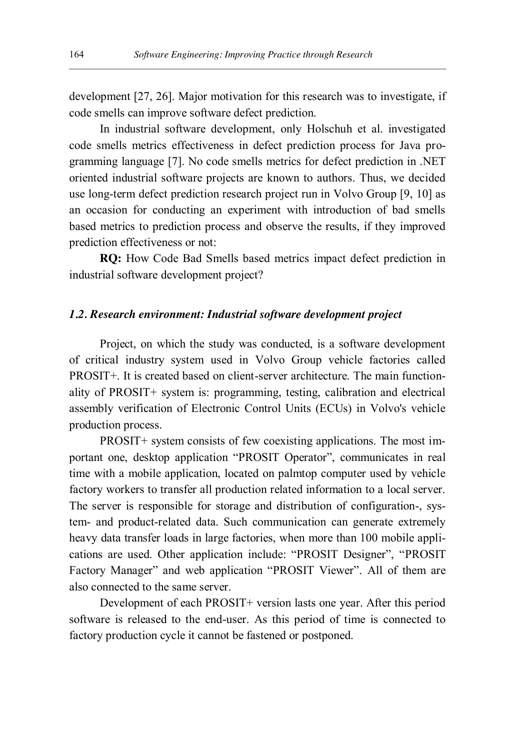development [27, 26]. Major motivation for this research was to investigate, if code smells can improve software defect prediction.

In industrial software development, only Holschuh et al. investigated code smells metrics effectiveness in defect prediction process for Java programming language [7]. No code smells metrics for defect prediction in .NET oriented industrial software projects are known to authors. Thus, we decided use long-term defect prediction research project run in Volvo Group [9, 10] as an occasion for conducting an experiment with introduction of bad smells based metrics to prediction process and observe the results, if they improved prediction effectiveness or not:

**RQ:** How Code Bad Smells based metrics impact defect prediction in industrial software development project?

#### *1.2. Research environment: Industrial software development project*

Project, on which the study was conducted, is a software development of critical industry system used in Volvo Group vehicle factories called PROSIT+. It is created based on client-server architecture. The main functionality of PROSIT+ system is: programming, testing, calibration and electrical assembly verification of Electronic Control Units (ECUs) in Volvo's vehicle production process.

PROSIT+ system consists of few coexisting applications. The most important one, desktop application "PROSIT Operator", communicates in real time with a mobile application, located on palmtop computer used by vehicle factory workers to transfer all production related information to a local server. The server is responsible for storage and distribution of configuration-, system- and product-related data. Such communication can generate extremely heavy data transfer loads in large factories, when more than 100 mobile applications are used. Other application include: "PROSIT Designer", "PROSIT Factory Manager" and web application "PROSIT Viewer". All of them are also connected to the same server.

Development of each PROSIT+ version lasts one year. After this period software is released to the end-user. As this period of time is connected to factory production cycle it cannot be fastened or postponed.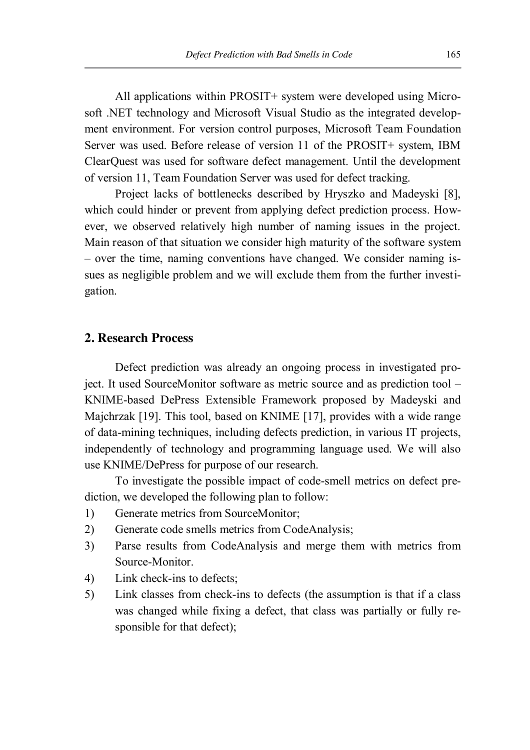All applications within PROSIT+ system were developed using Microsoft .NET technology and Microsoft Visual Studio as the integrated development environment. For version control purposes, Microsoft Team Foundation Server was used. Before release of version 11 of the PROSIT+ system, IBM ClearQuest was used for software defect management. Until the development of version 11, Team Foundation Server was used for defect tracking.

Project lacks of bottlenecks described by Hryszko and Madeyski [8], which could hinder or prevent from applying defect prediction process. However, we observed relatively high number of naming issues in the project. Main reason of that situation we consider high maturity of the software system – over the time, naming conventions have changed. We consider naming issues as negligible problem and we will exclude them from the further investigation.

# **2. Research Process**

Defect prediction was already an ongoing process in investigated project. It used SourceMonitor software as metric source and as prediction tool – KNIME-based DePress Extensible Framework proposed by Madeyski and Majchrzak [19]. This tool, based on KNIME [17], provides with a wide range of data-mining techniques, including defects prediction, in various IT projects, independently of technology and programming language used. We will also use KNIME/DePress for purpose of our research.

To investigate the possible impact of code-smell metrics on defect prediction, we developed the following plan to follow:

- 1) Generate metrics from SourceMonitor;
- 2) Generate code smells metrics from CodeAnalysis;
- 3) Parse results from CodeAnalysis and merge them with metrics from Source-Monitor.
- 4) Link check-ins to defects;
- 5) Link classes from check-ins to defects (the assumption is that if a class was changed while fixing a defect, that class was partially or fully responsible for that defect);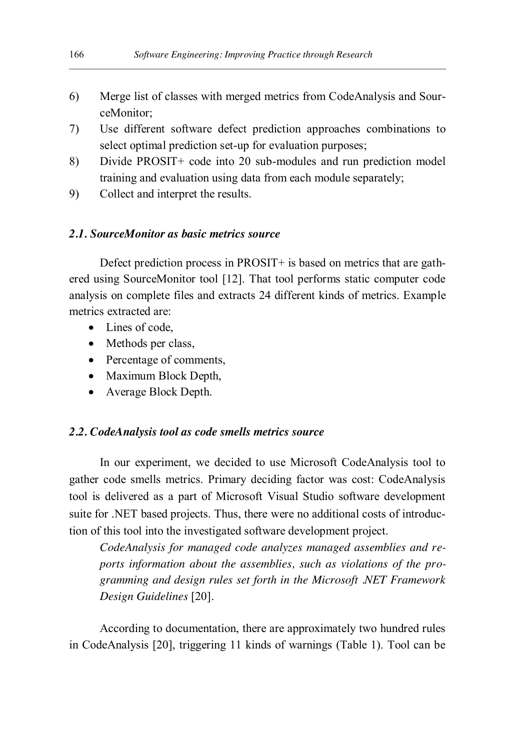- 6) Merge list of classes with merged metrics from CodeAnalysis and SourceMonitor;
- 7) Use different software defect prediction approaches combinations to select optimal prediction set-up for evaluation purposes;
- 8) Divide PROSIT+ code into 20 sub-modules and run prediction model training and evaluation using data from each module separately;
- 9) Collect and interpret the results.

### *2.1. SourceMonitor as basic metrics source*

Defect prediction process in PROSIT+ is based on metrics that are gathered using SourceMonitor tool [12]. That tool performs static computer code analysis on complete files and extracts 24 different kinds of metrics. Example metrics extracted are:

- $\bullet$  Lines of code
- Methods per class,
- Percentage of comments,
- Maximum Block Depth,
- Average Block Depth.

### *2.2. CodeAnalysis tool as code smells metrics source*

In our experiment, we decided to use Microsoft CodeAnalysis tool to gather code smells metrics. Primary deciding factor was cost: CodeAnalysis tool is delivered as a part of Microsoft Visual Studio software development suite for .NET based projects. Thus, there were no additional costs of introduction of this tool into the investigated software development project.

*CodeAnalysis for managed code analyzes managed assemblies and reports information about the assemblies, such as violations of the programming and design rules set forth in the Microsoft .NET Framework Design Guidelines* [20]*.*

According to documentation, there are approximately two hundred rules in CodeAnalysis [20], triggering 11 kinds of warnings (Table 1). Tool can be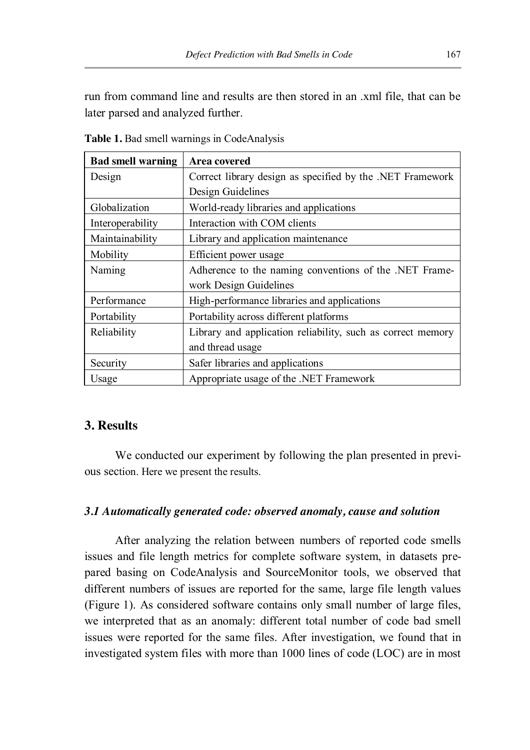run from command line and results are then stored in an .xml file, that can be later parsed and analyzed further.

| <b>Bad smell warning</b> | <b>Area covered</b>                                         |
|--------------------------|-------------------------------------------------------------|
| Design                   | Correct library design as specified by the .NET Framework   |
|                          | Design Guidelines                                           |
| Globalization            | World-ready libraries and applications                      |
| Interoperability         | Interaction with COM clients                                |
| Maintainability          | Library and application maintenance                         |
| Mobility                 | Efficient power usage                                       |
| Naming                   | Adherence to the naming conventions of the .NET Frame-      |
|                          | work Design Guidelines                                      |
| Performance              | High-performance libraries and applications                 |
| Portability              | Portability across different platforms                      |
| Reliability              | Library and application reliability, such as correct memory |
|                          | and thread usage                                            |
| Security                 | Safer libraries and applications                            |
| Usage                    | Appropriate usage of the .NET Framework                     |

**Table 1.** Bad smell warnings in CodeAnalysis

# **3. Results**

We conducted our experiment by following the plan presented in previous section. Here we present the results.

# *3.1 Automatically generated code: observed anomaly, cause and solution*

After analyzing the relation between numbers of reported code smells issues and file length metrics for complete software system, in datasets prepared basing on CodeAnalysis and SourceMonitor tools, we observed that different numbers of issues are reported for the same, large file length values (Figure 1). As considered software contains only small number of large files, we interpreted that as an anomaly: different total number of code bad smell issues were reported for the same files. After investigation, we found that in investigated system files with more than 1000 lines of code (LOC) are in most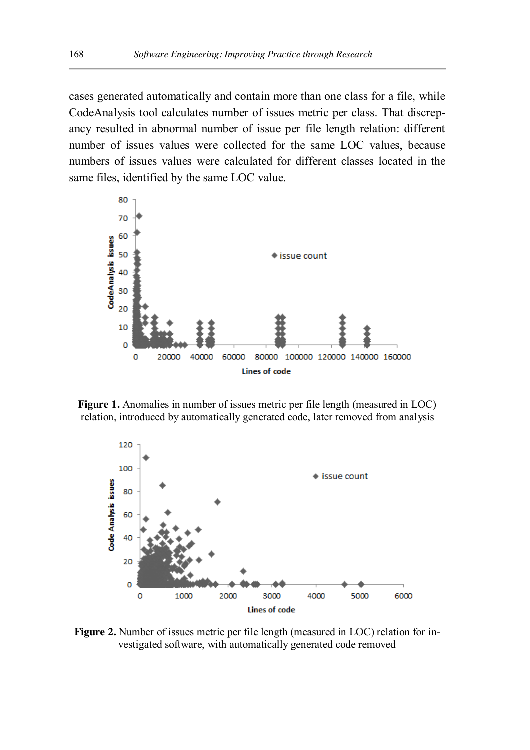cases generated automatically and contain more than one class for a file, while CodeAnalysis tool calculates number of issues metric per class. That discrepancy resulted in abnormal number of issue per file length relation: different number of issues values were collected for the same LOC values, because numbers of issues values were calculated for different classes located in the same files, identified by the same LOC value.



**Figure 1.** Anomalies in number of issues metric per file length (measured in LOC) relation, introduced by automatically generated code, later removed from analysis



**Figure 2.** Number of issues metric per file length (measured in LOC) relation for investigated software, with automatically generated code removed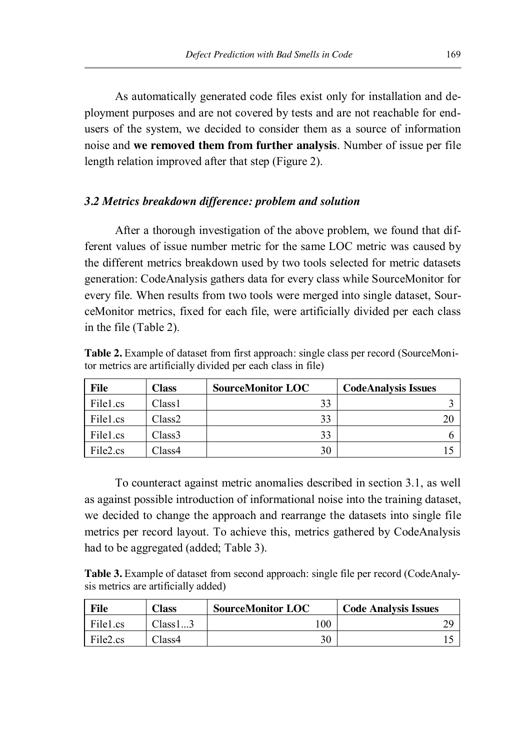As automatically generated code files exist only for installation and deployment purposes and are not covered by tests and are not reachable for endusers of the system, we decided to consider them as a source of information noise and **we removed them from further analysis**. Number of issue per file length relation improved after that step (Figure 2).

# *3.2 Metrics breakdown difference: problem and solution*

After a thorough investigation of the above problem, we found that different values of issue number metric for the same LOC metric was caused by the different metrics breakdown used by two tools selected for metric datasets generation: CodeAnalysis gathers data for every class while SourceMonitor for every file. When results from two tools were merged into single dataset, SourceMonitor metrics, fixed for each file, were artificially divided per each class in the file (Table 2).

**Table 2.** Example of dataset from first approach: single class per record (SourceMonitor metrics are artificially divided per each class in file)

| <b>File</b>          | <b>Class</b>       | <b>SourceMonitor LOC</b> | <b>CodeAnalysis Issues</b> |
|----------------------|--------------------|--------------------------|----------------------------|
| File1.cs             | Class <sub>1</sub> | 33                       |                            |
| File1.cs             | Class <sub>2</sub> | 33                       |                            |
| File1.cs             | Class3             | 33                       |                            |
| File <sub>2.cs</sub> | Class4             | 30                       |                            |

To counteract against metric anomalies described in section 3.1, as well as against possible introduction of informational noise into the training dataset, we decided to change the approach and rearrange the datasets into single file metrics per record layout. To achieve this, metrics gathered by CodeAnalysis had to be aggregated (added; Table 3).

**Table 3.** Example of dataset from second approach: single file per record (CodeAnalysis metrics are artificially added)

| File                 | <b>Class</b>    | <b>SourceMonitor LOC</b> | <b>Code Analysis Issues</b> |
|----------------------|-----------------|--------------------------|-----------------------------|
| File1.cs             | Class 13        | 00                       |                             |
| File <sub>2.cs</sub> | $\text{Class}4$ | 30                       |                             |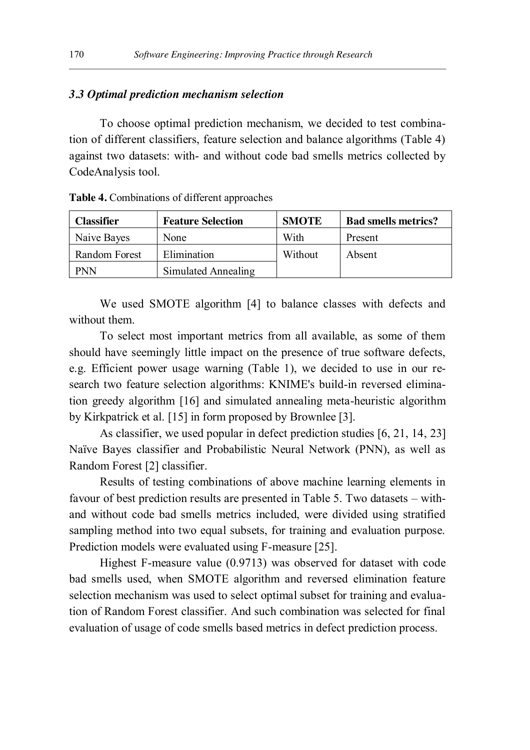# *3.3 Optimal prediction mechanism selection*

To choose optimal prediction mechanism, we decided to test combination of different classifiers, feature selection and balance algorithms (Table 4) against two datasets: with- and without code bad smells metrics collected by CodeAnalysis tool.

| Classifier    | <b>Feature Selection</b> | <b>SMOTE</b> | <b>Bad smells metrics?</b> |
|---------------|--------------------------|--------------|----------------------------|
| Naive Bayes   | None                     | With         | Present                    |
| Random Forest | Elimination              | Without      | Absent                     |
| PNN           | Simulated Annealing      |              |                            |

We used SMOTE algorithm [4] to balance classes with defects and without them.

To select most important metrics from all available, as some of them should have seemingly little impact on the presence of true software defects, e.g. Efficient power usage warning (Table 1), we decided to use in our research two feature selection algorithms: KNIME's build-in reversed elimination greedy algorithm [16] and simulated annealing meta-heuristic algorithm by Kirkpatrick et al. [15] in form proposed by Brownlee [3].

As classifier, we used popular in defect prediction studies [6, 21, 14, 23] Naïve Bayes classifier and Probabilistic Neural Network (PNN), as well as Random Forest [2] classifier.

Results of testing combinations of above machine learning elements in favour of best prediction results are presented in Table 5. Two datasets – withand without code bad smells metrics included, were divided using stratified sampling method into two equal subsets, for training and evaluation purpose. Prediction models were evaluated using F-measure [25].

Highest F-measure value (0.9713) was observed for dataset with code bad smells used, when SMOTE algorithm and reversed elimination feature selection mechanism was used to select optimal subset for training and evaluation of Random Forest classifier. And such combination was selected for final evaluation of usage of code smells based metrics in defect prediction process.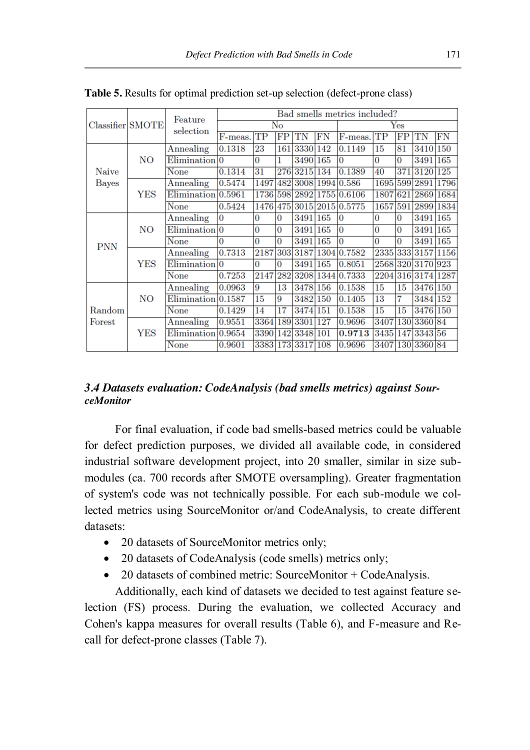|                                      |                    |                            | Bad smells metrics included? |          |          |                      |                  |                           |             |                    |                    |           |
|--------------------------------------|--------------------|----------------------------|------------------------------|----------|----------|----------------------|------------------|---------------------------|-------------|--------------------|--------------------|-----------|
| Classifier SMOTE                     | Feature            | $\overline{\text{No}}$     |                              |          |          | $\operatorname{Yes}$ |                  |                           |             |                    |                    |           |
|                                      | selection          | F-meas.                    | TP                           | FP       | TN       | FN                   | F-meas.          | TP                        | $_{\rm FP}$ | TN                 | FN                 |           |
|                                      |                    | Annealing                  | 0.1318                       | 23       | 161      | 3330 142             |                  | 0.1149                    | 15          | 81                 | 3410 150           |           |
|                                      | NO                 | $Elimination$ <sup>0</sup> |                              | 0        |          | 3490                 | 165              | 0                         | 0           | 0                  | 3491               | 165       |
| Naive                                |                    | None                       | 0.1314                       | 31       |          | 276 3215             | 134              | 0.1389                    | 40          | 371                | 3120 125           |           |
| Bayes                                |                    | Annealing                  | 0.5474                       | 1497     |          |                      |                  | 482 3008 1994 0.586       | 1695        |                    | 599 2891 1796      |           |
|                                      | <b>YES</b>         | Elimination 0.5961         |                              |          |          |                      |                  | 1736 598 2892 1755 0.6106 | 1807 621    |                    | 2869 1684          |           |
|                                      |                    | None                       | 0.5424                       | 1476 475 |          |                      |                  | 3015 2015 0.5775          | 1657        | 591                |                    | 2899 1834 |
|                                      |                    | Annealing                  | $\Omega$                     | 0        | 0        | 3491 165             |                  | $\Omega$                  | $\Omega$    | 0                  | 3491 165           |           |
|                                      | NΟ                 | Elimination <sup>0</sup>   |                              | 0        | $\bf{0}$ | 3491                 | 165              | $\Omega$                  | 0           | 0                  | 3491 165           |           |
| <b>PNN</b>                           |                    | None                       | 0                            | 0        | 0        | 3491                 | 165              | 0                         | $\Omega$    | 0                  | 3491 165           |           |
|                                      |                    | Annealing                  | 0.7313                       | 2187     | 303      | 3187                 |                  | 1304 0.7582               |             |                    | 2335 333 3157 1156 |           |
|                                      | <b>YES</b>         | Elimination <sup>0</sup>   |                              | 0        | 0        | 3491                 | 165              | 0.8051                    |             |                    | 2568 320 3170 923  |           |
|                                      | None               | 0.7253                     | 2147                         | 282      |          |                      | 3208 1344 0.7333 |                           |             | 2204 316 3174 1287 |                    |           |
|                                      |                    | Annealing                  | 0.0963                       | 9        | 13       | 3478                 | 156              | 0.1538                    | 15          | 15                 | 3476 150           |           |
| NO<br>Random<br>Forest<br><b>YES</b> | Elimination 0.1587 |                            | 15                           | 9        | 3482     | 150                  | 0.1405           | 13                        | 7           | 3484 152           |                    |           |
|                                      | None               | 0.1429                     | 14                           | 17       | 3474     | 151                  | 0.1538           | $\overline{15}$           | 15          | 3476 150           |                    |           |
|                                      |                    | Annealing                  | 0.9551                       | 3364     |          | 189 3301             | 127              | 0.9696                    |             |                    | 3407 130 3360 84   |           |
|                                      |                    | Elimination 0.9654         |                              | 3390     | 142      | 3348                 | 101              | 0.9713                    | 3435        | 147                | 3343 56            |           |
|                                      |                    | None                       | 0.9601                       | 3383     | 173      | 3317                 | 108              | 0.9696                    | 3407        | 130                | 3360 84            |           |

**Table 5.** Results for optimal prediction set-up selection (defect-prone class)

# *3.4 Datasets evaluation: CodeAnalysis (bad smells metrics) against SourceMonitor*

For final evaluation, if code bad smells-based metrics could be valuable for defect prediction purposes, we divided all available code, in considered industrial software development project, into 20 smaller, similar in size submodules (ca. 700 records after SMOTE oversampling). Greater fragmentation of system's code was not technically possible. For each sub-module we collected metrics using SourceMonitor or/and CodeAnalysis, to create different datasets:

- 20 datasets of SourceMonitor metrics only;
- 20 datasets of CodeAnalysis (code smells) metrics only;
- $\bullet$  20 datasets of combined metric: SourceMonitor + CodeAnalysis.

Additionally, each kind of datasets we decided to test against feature selection (FS) process. During the evaluation, we collected Accuracy and Cohen's kappa measures for overall results (Table 6), and F-measure and Recall for defect-prone classes (Table 7).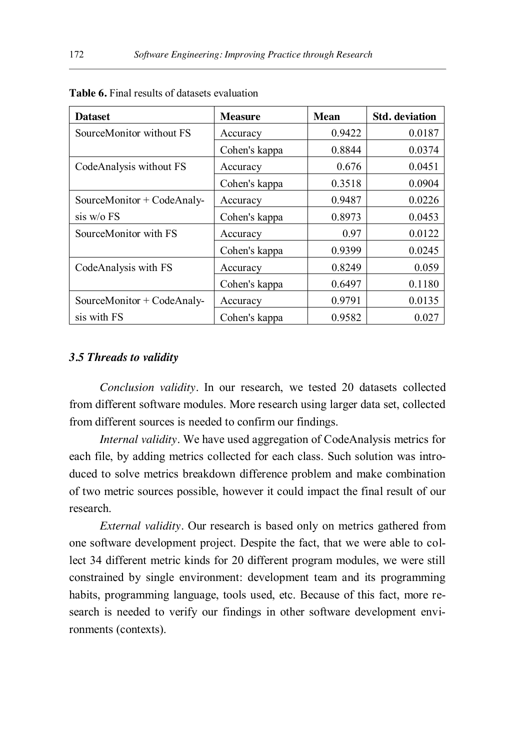| <b>Dataset</b>             | <b>Measure</b> | <b>Mean</b> | <b>Std.</b> deviation |
|----------------------------|----------------|-------------|-----------------------|
| SourceMonitor without FS   | Accuracy       | 0.9422      | 0.0187                |
|                            | Cohen's kappa  | 0.8844      | 0.0374                |
| CodeAnalysis without FS    | Accuracy       | 0.676       | 0.0451                |
|                            | Cohen's kappa  | 0.3518      | 0.0904                |
| SourceMonitor + CodeAnaly- | Accuracy       | 0.9487      | 0.0226                |
| $sis$ w/o $FS$             | Cohen's kappa  | 0.8973      | 0.0453                |
| SourceMonitor with FS      | Accuracy       | 0.97        | 0.0122                |
|                            | Cohen's kappa  | 0.9399      | 0.0245                |
| CodeAnalysis with FS       | Accuracy       | 0.8249      | 0.059                 |
|                            | Cohen's kappa  | 0.6497      | 0.1180                |
| SourceMonitor + CodeAnaly- | Accuracy       | 0.9791      | 0.0135                |
| sis with FS                | Cohen's kappa  | 0.9582      | 0.027                 |

## *3.5 Threads to validity*

*Conclusion validity.* In our research, we tested 20 datasets collected from different software modules. More research using larger data set, collected from different sources is needed to confirm our findings.

*Internal validity.* We have used aggregation of CodeAnalysis metrics for each file, by adding metrics collected for each class. Such solution was introduced to solve metrics breakdown difference problem and make combination of two metric sources possible, however it could impact the final result of our research.

*External validity.* Our research is based only on metrics gathered from one software development project. Despite the fact, that we were able to collect 34 different metric kinds for 20 different program modules, we were still constrained by single environment: development team and its programming habits, programming language, tools used, etc. Because of this fact, more research is needed to verify our findings in other software development environments (contexts).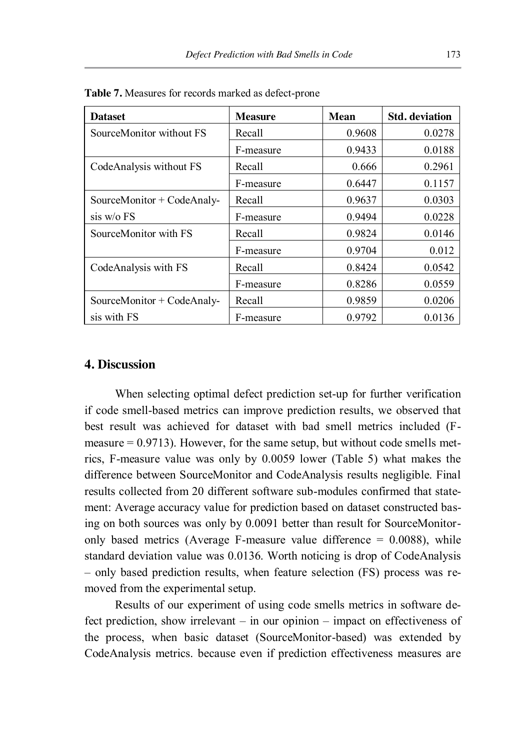| <b>Dataset</b>             | <b>Measure</b> | <b>Mean</b> | <b>Std.</b> deviation |
|----------------------------|----------------|-------------|-----------------------|
| SourceMonitor without FS   | Recall         | 0.9608      | 0.0278                |
|                            | F-measure      | 0.9433      | 0.0188                |
| CodeAnalysis without FS    | Recall         | 0.666       | 0.2961                |
|                            | F-measure      | 0.6447      | 0.1157                |
| SourceMonitor + CodeAnaly- | Recall         | 0.9637      | 0.0303                |
| $sis$ w/o FS               | F-measure      | 0.9494      | 0.0228                |
| SourceMonitor with FS      | Recall         | 0.9824      | 0.0146                |
|                            | F-measure      | 0.9704      | 0.012                 |
| CodeAnalysis with FS       | Recall         | 0.8424      | 0.0542                |
|                            | F-measure      | 0.8286      | 0.0559                |
| SourceMonitor + CodeAnaly- | Recall         | 0.9859      | 0.0206                |
| sis with FS                | F-measure      | 0.9792      | 0.0136                |

**Table 7.** Measures for records marked as defect-prone

## **4. Discussion**

When selecting optimal defect prediction set-up for further verification if code smell-based metrics can improve prediction results, we observed that best result was achieved for dataset with bad smell metrics included (Fmeasure  $= 0.9713$ ). However, for the same setup, but without code smells metrics, F-measure value was only by 0.0059 lower (Table 5) what makes the difference between SourceMonitor and CodeAnalysis results negligible. Final results collected from 20 different software sub-modules confirmed that statement: Average accuracy value for prediction based on dataset constructed basing on both sources was only by 0.0091 better than result for SourceMonitoronly based metrics (Average F-measure value difference  $= 0.0088$ ), while standard deviation value was 0.0136. Worth noticing is drop of CodeAnalysis – only based prediction results, when feature selection (FS) process was removed from the experimental setup.

Results of our experiment of using code smells metrics in software defect prediction, show irrelevant – in our opinion – impact on effectiveness of the process, when basic dataset (SourceMonitor-based) was extended by CodeAnalysis metrics. because even if prediction effectiveness measures are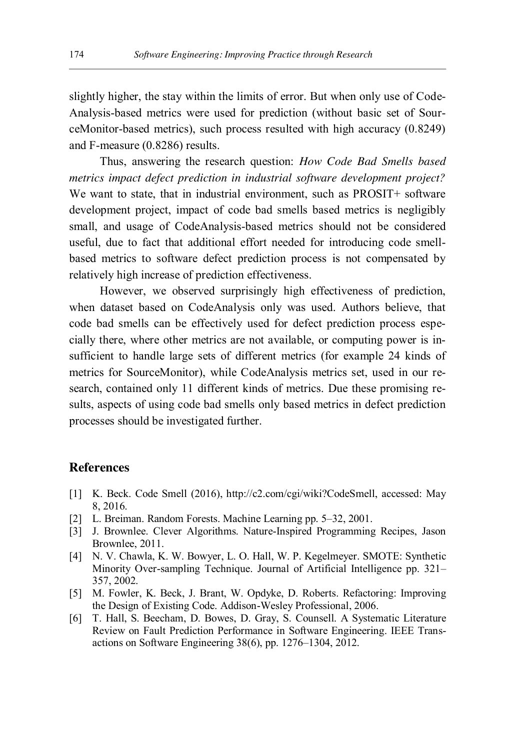slightly higher, the stay within the limits of error. But when only use of Code-Analysis-based metrics were used for prediction (without basic set of SourceMonitor-based metrics), such process resulted with high accuracy (0.8249) and F-measure (0.8286) results.

Thus, answering the research question: *How Code Bad Smells based metrics impact defect prediction in industrial software development project?*  We want to state, that in industrial environment, such as PROSIT+ software development project, impact of code bad smells based metrics is negligibly small, and usage of CodeAnalysis-based metrics should not be considered useful, due to fact that additional effort needed for introducing code smellbased metrics to software defect prediction process is not compensated by relatively high increase of prediction effectiveness.

However, we observed surprisingly high effectiveness of prediction, when dataset based on CodeAnalysis only was used. Authors believe, that code bad smells can be effectively used for defect prediction process especially there, where other metrics are not available, or computing power is insufficient to handle large sets of different metrics (for example 24 kinds of metrics for SourceMonitor), while CodeAnalysis metrics set, used in our research, contained only 11 different kinds of metrics. Due these promising results, aspects of using code bad smells only based metrics in defect prediction processes should be investigated further.

## **References**

- [1] K. Beck. Code Smell (2016), http://c2.com/cgi/wiki?CodeSmell, accessed: May 8, 2016.
- [2] L. Breiman. Random Forests. Machine Learning pp. 5–32, 2001.
- [3] J. Brownlee. Clever Algorithms. Nature-Inspired Programming Recipes, Jason Brownlee, 2011.
- [4] N. V. Chawla, K. W. Bowyer, L. O. Hall, W. P. Kegelmeyer. SMOTE: Synthetic Minority Over-sampling Technique. Journal of Artificial Intelligence pp. 321– 357, 2002.
- [5] M. Fowler, K. Beck, J. Brant, W. Opdyke, D. Roberts. Refactoring: Improving the Design of Existing Code. Addison-Wesley Professional, 2006.
- [6] T. Hall, S. Beecham, D. Bowes, D. Gray, S. Counsell. A Systematic Literature Review on Fault Prediction Performance in Software Engineering. IEEE Transactions on Software Engineering 38(6), pp. 1276–1304, 2012.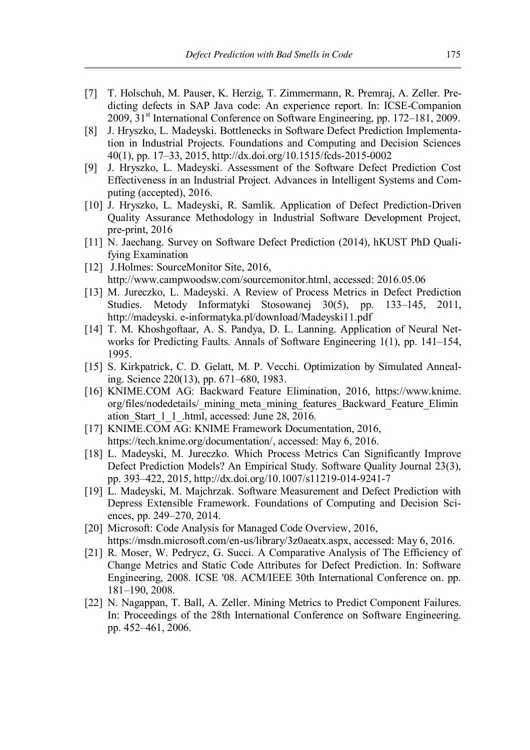- [7] T. Holschuh, M. Pauser, K. Herzig, T. Zimmermann, R. Premraj, A. Zeller. Predicting defects in SAP Java code: An experience report. In: ICSE-Companion 2009, 31<sup>st</sup> International Conference on Software Engineering, pp. 172–181, 2009.
- [8] J. Hryszko, L. Madeyski. Bottlenecks in Software Defect Prediction Implementation in Industrial Projects. Foundations and Computing and Decision Sciences 40(1), pp. 17–33, 2015, http://dx.doi.org/10.1515/fcds-2015-0002
- [9] J. Hryszko, L. Madeyski. Assessment of the Software Defect Prediction Cost Effectiveness in an Industrial Project. Advances in Intelligent Systems and Computing (accepted), 2016.
- [10] J. Hryszko, L. Madeyski, R. Samlik. Application of Defect Prediction-Driven Quality Assurance Methodology in Industrial Software Development Project, pre-print, 2016
- [11] N. Jaechang. Survey on Software Defect Prediction (2014), hKUST PhD Qualifying Examination
- [12] J.Holmes: SourceMonitor Site, 2016, http://www.campwoodsw.com/sourcemonitor.html, accessed: 2016.05.06
- [13] M. Jureczko, L. Madeyski. A Review of Process Metrics in Defect Prediction Studies. Metody Informatyki Stosowanej 30(5), pp. 133–145, 2011, http://madeyski. e-informatyka.pl/download/Madeyski11.pdf
- [14] T. M. Khoshgoftaar, A. S. Pandya, D. L. Lanning. Application of Neural Networks for Predicting Faults. Annals of Software Engineering 1(1), pp. 141–154, 1995.
- [15] S. Kirkpatrick, C. D. Gelatt, M. P. Vecchi. Optimization by Simulated Annealing. Science 220(13), pp. 671–680, 1983.
- [16] KNIME.COM AG: Backward Feature Elimination, 2016, https://www.knime. org/files/nodedetails/\_mining\_meta\_mining\_features\_Backward\_Feature\_Elimin ation\_Start\_1\_1\_.html, accessed: June 28, 2016.
- [17] KNIME.COM AG: KNIME Framework Documentation, 2016, https://tech.knime.org/documentation/, accessed: May 6, 2016.
- [18] L. Madeyski, M. Jureczko. Which Process Metrics Can Significantly Improve Defect Prediction Models? An Empirical Study. Software Quality Journal 23(3), pp. 393–422, 2015, http://dx.doi.org/10.1007/s11219-014-9241-7
- [19] L. Madeyski, M. Majchrzak. Software Measurement and Defect Prediction with Depress Extensible Framework. Foundations of Computing and Decision Sciences, pp. 249–270, 2014.
- [20] Microsoft: Code Analysis for Managed Code Overview, 2016, https://msdn.microsoft.com/en-us/library/3z0aeatx.aspx, accessed: May 6, 2016.
- [21] R. Moser, W. Pedrycz, G. Succi. A Comparative Analysis of The Efficiency of Change Metrics and Static Code Attributes for Defect Prediction. In: Software Engineering, 2008. ICSE '08. ACM/IEEE 30th International Conference on. pp. 181–190, 2008.
- [22] N. Nagappan, T. Ball, A. Zeller. Mining Metrics to Predict Component Failures. In: Proceedings of the 28th International Conference on Software Engineering. pp. 452–461, 2006.